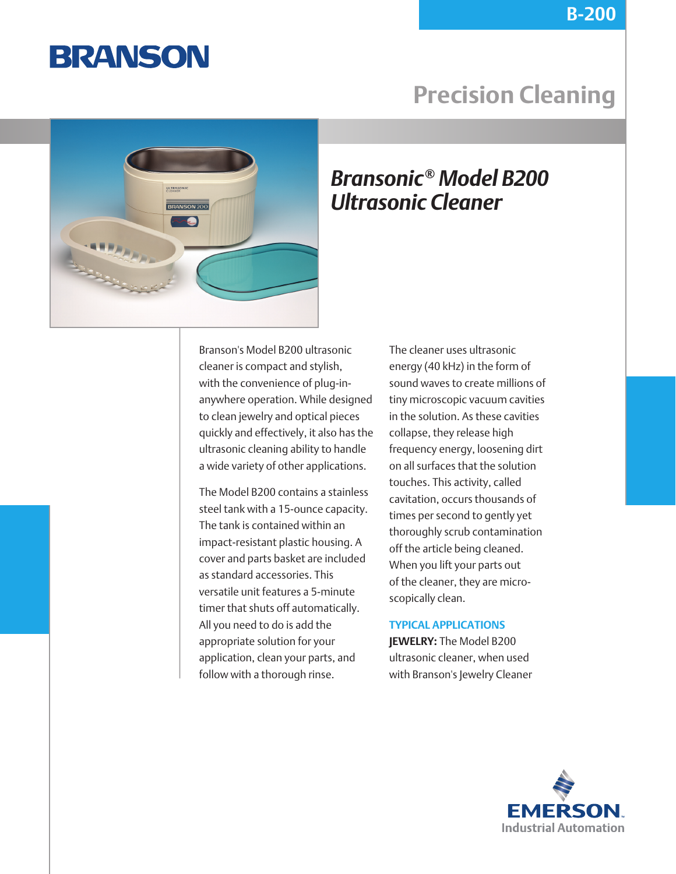

## **Precision Cleaning**



### *Bransonic® Model B200 Ultrasonic Cleaner*

Branson's Model B200 ultrasonic cleaner is compact and stylish, with the convenience of plug-inanywhere operation. While designed to clean jewelry and optical pieces quickly and effectively, it also has the ultrasonic cleaning ability to handle a wide variety of other applications.

The Model B200 contains a stainless steel tank with a 15-ounce capacity. The tank is contained within an impact-resistant plastic housing. A cover and parts basket are included as standard accessories. This versatile unit features a 5-minute timer that shuts off automatically. All you need to do is add the appropriate solution for your application, clean your parts, and follow with a thorough rinse.

The cleaner uses ultrasonic energy (40 kHz) in the form of sound waves to create millions of tiny microscopic vacuum cavities in the solution. As these cavities collapse, they release high frequency energy, loosening dirt on all surfaces that the solution touches. This activity, called cavitation, occurs thousands of times per second to gently yet thoroughly scrub contamination off the article being cleaned. When you lift your parts out of the cleaner, they are microscopically clean.

### **TYPICAL APPLICATIONS**

**JEWELRY:** The Model B200 ultrasonic cleaner, when used with Branson's Jewelry Cleaner